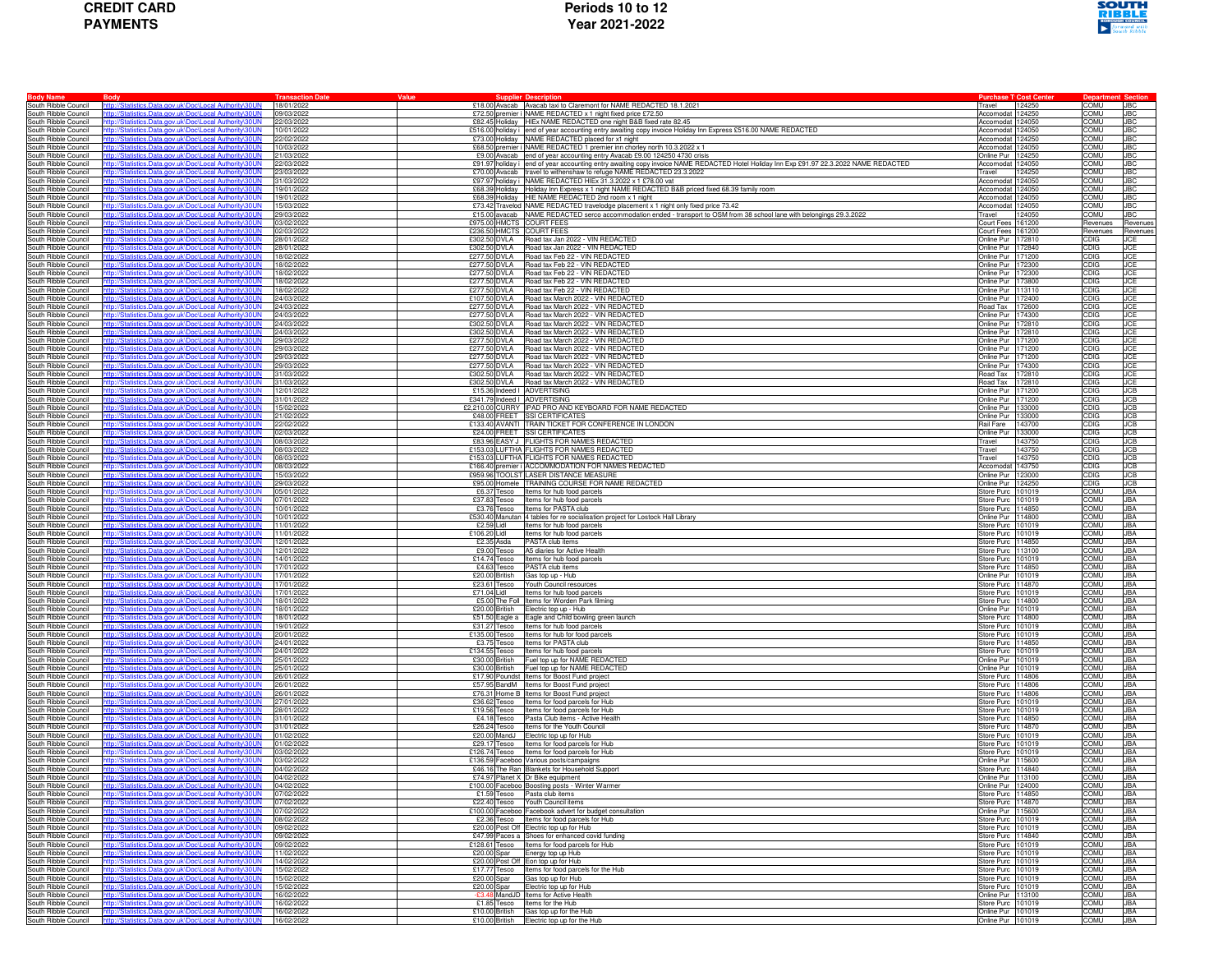

|                                              |                                                                                                             | <b>Transaction Date</b>  | Value                        | <b>Supplier Description</b>                                                                                                                                        | <b>Purchase T</b> 'Cost Center         |                            |                          |
|----------------------------------------------|-------------------------------------------------------------------------------------------------------------|--------------------------|------------------------------|--------------------------------------------------------------------------------------------------------------------------------------------------------------------|----------------------------------------|----------------------------|--------------------------|
| South Ribble Council                         | ics.Data.gov.uk\Doc\Local Authority\30UN                                                                    | 18/01/2022               |                              | £18.00 Avacab Avacab taxi to Claremont for NAME REDACTED 18.1.2021                                                                                                 | 124250<br>Travel                       | COMU                       | <b>JBC</b>               |
| South Ribble Council                         | p://Statistics.Data.gov.uk\Doc\Local Authority\30UN                                                         | 09/03/2022               |                              | £72.50 premier i NAME REDACTED x 1 night fixed price £72.50                                                                                                        | Accomodat 124250                       | COMU                       | <b>JBC</b>               |
| South Ribble Council                         | p://Statistics.Data.gov.uk\Doc\Local Authority\30UN                                                         | 22/03/2022               |                              | £82.45 Holiday HIEx NAME REDACTED one night B&B fixed rate 82.45                                                                                                   | Accomodat 124050                       | <b>COMU</b>                | <b>JBC</b>               |
| South Ribble Council<br>South Ribble Council | tp://Statistics.Data.gov.uk\Doc\Local Authority\30UN<br>o://Statistics.Data.gov.uk\Doc\Local Authority\30UN | 10/01/2022<br>22/02/2022 |                              | £516.00 holiday i end of year accounting entry awaiting copy invoice Holiday Inn Express £516.00 NAME REDACTED<br>£73.00 Holiday NAME REDACTED placed for x1 night | Accomodat 124050<br>Accomodat 124250   | COMU<br>COMU               | <b>JBC</b><br><b>JBC</b> |
| South Ribble Council                         |                                                                                                             | 10/03/2022               |                              | £68.50 premier i NAME REDACTED 1 premier inn chorley north 10.3.2022 x 1                                                                                           | Accomodat 124050                       | COMU                       | <b>JBC</b>               |
| South Ribble Council                         | stics.Data.gov.uk\Doc\Local Authority\                                                                      | 21/03/2022               |                              | £9.00 Avacab end of year accounting entry Avacab £9.00 124250 4730 crisis                                                                                          | Online Pur 124250                      | COMU                       | <b>JBC</b>               |
| South Ribble Council                         | p://Statistics.Data.gov.uk\Doc\Local Authority\30UN                                                         | 22/03/2022               |                              | £91.97 holiday i end of year accounting entry awaiting copy invoice NAME REDACTED Hotel Holiday Inn Exp £91.97 22.3.2022 NAME REDACTED                             | Accomodat 124050                       | <b>COMU</b>                | <b>JBC</b>               |
| South Ribble Council                         | tp://Statistics.Data.gov.uk\Doc\Local Authority\30UN                                                        | 23/03/2022               |                              | £70.00 Avacab travel to withenshaw to refuge NAME REDACTED 23.3.2022                                                                                               | Travel<br>124250                       | COMU                       | <b>JBC</b>               |
| South Ribble Council                         | ://Statistics.Data.gov.uk\Doc\Local Authority\30UN                                                          | 31/03/2022               |                              | £97.97 holiday i NAME REDACTED HIEx 31.3.2022 x 1 £78.00 vat                                                                                                       | Accomodat 124050                       | COMU                       | <b>JBC</b>               |
| South Ribble Council<br>South Ribble Council | stics.Data.gov.uk\Doc\Local Authority                                                                       | 19/01/2022<br>19/01/2022 |                              | £68.39 Holiday Holiday Inn Express x 1 night NAME REDACTED B&B priced fixed 68.39 family room<br>£68.39 Holiday HIE NAME REDACTED 2nd room x 1 night               | Accomodat 124050<br>Accomodat 124050   | COMU<br>COMU               | <b>JBC</b><br><b>JBC</b> |
| South Ribble Council                         | tp://Statistics.Data.gov.uk\Doc\Local Authority\30UN                                                        | 15/03/2022               |                              | £73.42 Travelod NAME REDACTED travelodge placement x 1 night only fixed price 73.42                                                                                | Accomodat 124050                       | <b>COMU</b>                | <b>JBC</b>               |
| South Ribble Council                         | p://Statistics.Data.gov.uk\Doc\Local Authority\30UN                                                         | 29/03/2022               |                              | £15.00 avacab NAME REDACTED serco accommodation ended - transport to OSM from 38 school lane with belongings 29.3.2022                                             | Travel<br>124050                       | COMU                       | <b>JBC</b>               |
| South Ribble Council                         | Statistics.Data.gov.uk\Doc\Local Authority\30UN                                                             | 03/02/2022               | £975.00 HMCTS COURT FEES     |                                                                                                                                                                    | Court Fees 161200                      | Revenues                   | Revenue                  |
| South Ribble Council                         |                                                                                                             | 02/03/2022               | £236.50 HMCTS COURT FEES     |                                                                                                                                                                    | Court Fees 161200                      | Revenues                   | Revenues                 |
| South Ribble Council                         | ://Statistics.Data.gov.uk\Doc\Local Authority<br>p://Statistics.Data.gov.uk\Doc\Local Authority\30UN        | 28/01/2022<br>28/01/2022 |                              | £302.50 DVLA Road tax Jan 2022 - VIN REDACTED<br>£302.50 DVLA Road tax Jan 2022 - VIN REDACTED                                                                     | Online Pur 172810<br>Online Pur 172840 | <b>CDIG</b><br><b>CDIG</b> | <b>JCE</b><br><b>JCE</b> |
| South Ribble Council<br>South Ribble Council | tp://Statistics.Data.gov.uk\Doc\Local Authority\30UN                                                        | 18/02/2022               |                              | £277.50 DVLA Road tax Feb 22 - VIN REDACTED                                                                                                                        | Online Pur 171200                      | <b>CDIG</b>                | <b>JCE</b>               |
| South Ribble Council                         | 1://Statistics.Data.gov.uk\Doc\Local Authority\30UN                                                         | 18/02/2022               |                              | £277.50 DVLA Road tax Feb 22 - VIN REDACTED                                                                                                                        | Online Pur 172300                      | <b>CDIG</b>                | <b>JCE</b>               |
| South Ribble Council                         |                                                                                                             | 18/02/2022               |                              | £277.50 DVLA Road tax Feb 22 - VIN REDACTED                                                                                                                        | Online Pur 172300                      | CDIG                       | <b>JCE</b>               |
| South Ribble Council                         | p://Statistics.Data.gov.uk\Doc\Local Authority                                                              | 18/02/2022               |                              | £277.50 DVLA Road tax Feb 22 - VIN REDACTED                                                                                                                        | Online Pur 173800                      | <b>CDIG</b>                | <b>JCE</b>               |
| South Ribble Council                         | n://Statistics.Data.gov.uk\Doc\Local Authority\30UN                                                         | 18/02/2022               |                              | £277.50 DVLA Road tax Feb 22 - VIN REDACTED                                                                                                                        | Online Pur 113110                      | <b>CDIG</b>                | <b>JCE</b>               |
| South Ribble Council<br>South Ribble Council | tp://Statistics.Data.gov.uk\Doc\Local Authority\30UN<br>n://Statistics.Data.gov.uk\Doc\Local Authority\30UN | 24/03/2022<br>24/03/2022 |                              | £107.50 DVLA Road tax March 2022 - VIN REDACTED<br>£277.50 DVLA Road tax March 2022 - VIN REDACTED                                                                 | Online Pur 172400<br>Road Tax 172600   | <b>CDIG</b><br><b>CDIG</b> | <b>JCE</b><br><b>JCE</b> |
| South Ribble Council                         | tics.Data.gov.uk\Doc\Local Authori                                                                          | 24/03/2022               | £277.50 DVLA                 | Road tax March 2022 - VIN REDACTED                                                                                                                                 | Online Pur 174300                      | CDIG                       |                          |
| South Ribble Council                         | ta.gov.uk\Doc\Local Authority                                                                               | 24/03/2022               |                              | £302.50 DVLA Road tax March 2022 - VIN REDACTED                                                                                                                    | Online Pur 172810                      | <b>CDIG</b>                | $\frac{JCE}{JCE}$        |
| South Ribble Council                         | p://Statistics.Data.gov.uk\Doc\Local Authority\30UN                                                         | 24/03/2022               |                              | £302.50 DVLA Road tax March 2022 - VIN REDACTED                                                                                                                    | Online Pur 172810                      | <b>CDIG</b>                | <b>JCE</b>               |
| South Ribble Council                         | tp://Statistics.Data.gov.uk\Doc\Local Authority\30UN                                                        | 29/03/2022               |                              | £277.50 DVLA Road tax March 2022 - VIN REDACTED                                                                                                                    | Online Pur 171200                      | <b>CDIG</b>                | <b>JCE</b>               |
| South Ribble Council                         |                                                                                                             | 29/03/2022               |                              | £277.50 DVLA Road tax March 2022 - VIN REDACTED                                                                                                                    | Online Pur 171200                      | <b>CDIG</b>                | <b>JCE</b>               |
| South Ribble Council<br>South Ribble Council | ics.Data.gov.uk\Doc\Local Authorit<br>stics.Data.gov.uk\Doc\Local Authority                                 | 29/03/2022<br>29/03/2022 |                              | £277.50 DVLA Road tax March 2022 - VIN REDACTED<br>£277.50 DVLA Road tax March 2022 - VIN REDACTED                                                                 | Online Pur 171200<br>Online Pur 174300 | CDIG<br><b>CDIG</b>        | <b>JCE</b><br><b>JCE</b> |
| South Ribble Council                         | tp://Statistics.Data.gov.uk\Doc\Local Authority\30UN                                                        | 31/03/2022               |                              | £302.50 DVLA Road tax March 2022 - VIN REDACTED                                                                                                                    | Road Tax 172810                        | <b>CDIG</b>                | <b>JCE</b>               |
| South Ribble Council                         | tp://Statistics.Data.gov.uk\Doc\Local Authority\30UN                                                        | 31/03/2022               |                              | £302.50 DVLA Road tax March 2022 - VIN REDACTED                                                                                                                    | Road Tax 172810                        | <b>CDIG</b>                | <b>JCE</b>               |
| South Ribble Council                         | Statistics.Data.gov.uk\Doc\Local Authority\30UN                                                             | 12/01/2022               | £15.36 Indeed I ADVERTISING  |                                                                                                                                                                    | Online Pur 171200                      | CDIG                       | <b>JCB</b>               |
| South Ribble Council                         |                                                                                                             | 31/01/2022               | £341.79 Indeed I ADVERTISING |                                                                                                                                                                    | Online Pur 171200                      | CDIG                       | <b>JCB</b>               |
| South Ribble Council                         | //Statistics.Data.gov.uk\Doc\Local Authority<br>//Statistics.Data.gov.uk\Doc\Local Authority\30UN           | 15/02/2022               |                              | £2,210.00 CURRY IPAD PRO AND KEYBOARD FOR NAME REDACTED<br>£48.00 FREET SSI CERTIFICATES                                                                           | Online Pur 133000                      | <b>CDIG</b><br><b>CDIG</b> | <b>JCB</b><br><b>JCB</b> |
| South Ribble Council<br>South Ribble Council | tp://Statistics.Data.gov.uk\Doc\Local Authority\30UN                                                        | 21/02/2022<br>22/02/2022 |                              | £133.40 AVANTI TRAIN TICKET FOR CONFERENCE IN LONDON                                                                                                               | Online Pur 133000<br>Rail Fare 143700  | <b>CDIG</b>                | <b>JCB</b>               |
| South Ribble Council                         | o://Statistics.Data.gov.uk\Doc\Local Authority\30UN                                                         | 02/03/2022               |                              | £24.00 FREET SSI CERTIFICATES                                                                                                                                      | 133000<br>Online Pur                   | <b>CDIG</b>                | <b>JCB</b>               |
| South Ribble Council                         |                                                                                                             | 08/03/2022               | £83.96                       | EASY J FLIGHTS FOR NAMES REDACTED                                                                                                                                  | Travel<br>143750                       | CDIG                       | <b>JCB</b>               |
| South Ribble Council                         | stics.Data.gov.uk\Doc\Local Authority                                                                       | 08/03/2022               |                              | £153.03 LUFTHA FLIGHTS FOR NAMES REDACTED                                                                                                                          | 143750<br>Travel                       | <b>CDIG</b>                | <b>JCB</b>               |
| South Ribble Council                         | p://Statistics.Data.gov.uk\Doc\Local Authority\30UN                                                         | 08/03/2022               |                              | £153.03 LUFTHA FLIGHTS FOR NAMES REDACTED                                                                                                                          | 143750<br>Travel                       | <b>CDIG</b>                | <b>JCB</b>               |
| South Ribble Council<br>South Ribble Council | tp://Statistics.Data.gov.uk\Doc\Local Authority\30UN<br>b://Statistics.Data.gov.uk\Doc\Local Authority\30UN | 08/03/2022<br>15/03/2022 |                              | £166.40 premier i ACCOMMODATION FOR NAMES REDACTED<br>£959.96 TOOLST LASER DISTANCE MEASURE                                                                        | Accomodat 143750<br>Online Pur 123000  | <b>CDIG</b><br>CDIG        | <b>JCB</b><br><b>JCB</b> |
| South Ribble Council                         | Statistics.Data.gov.uk\Doc\Local Authorit                                                                   | 29/03/2022               | £95.00                       | Homele TRAINING COURSE FOR NAME REDACTED                                                                                                                           | Online Pur 124250                      | <b>CDIG</b>                | JCB                      |
| South Ribble Council                         | tistics.Data.gov.uk\Doc\Local Authority                                                                     | 05/01/2022               |                              | £6.37 Tesco Items for hub food parcels                                                                                                                             | Store Purc 101019                      | <b>COMU</b>                | <b>JBA</b>               |
| South Ribble Council                         | p://Statistics.Data.gov.uk\Doc\Local Authority\30UN                                                         | 07/01/2022               |                              | £37.83 Tesco Items for hub food parcels                                                                                                                            | Store Purc 101019                      | <b>COMU</b>                | <b>JBA</b>               |
| South Ribble Council                         | tp://Statistics.Data.gov.uk\Doc\Local Authority\30UN                                                        | 10/01/2022               |                              | £3.76 Tesco Items for PASTA club                                                                                                                                   | Store Purc 114850                      | COMU                       | <b>JBA</b>               |
| South Ribble Council                         |                                                                                                             | 10/01/2022               |                              | £530.40 Manutan 4 tables for re socialisation project for Lostock Hall Library                                                                                     | Online Pur 114800                      | COMU                       | <b>JBA</b>               |
| South Ribble Council<br>South Ribble Council | stics.Data.gov.uk\Doc\Local Authority                                                                       | 11/01/2022<br>11/01/2022 | £2.59 Lidl<br>£106.20 II idl | Items for hub food parcels<br>Items for hub food parcels                                                                                                           | Store Purc 101019<br>Store Purc 101019 | COMU<br>COMU               | <b>JBA</b><br><b>JBA</b> |
| South Ribble Council                         | tp://Statistics.Data.gov.uk\Doc\Local Authority\30UN                                                        | 12/01/2022               |                              | £2.35 Asda PASTA club items                                                                                                                                        | Store Purc 114850                      | <b>COMU</b>                | <b>JBA</b>               |
| South Ribble Council                         | tp://Statistics.Data.gov.uk\Doc\Local Authority\30UN                                                        | 12/01/2022               |                              | £9.00 Tesco A5 diaries for Active Health                                                                                                                           | Store Purc 113100                      | COMU                       | <b>JBA</b>               |
| South Ribble Council                         | Statistics.Data.gov.uk\Doc\Local Authority\30UN                                                             | 14/01/2022               |                              | £14.74 Tesco Items for hub food parcels                                                                                                                            | Store Purc 101019                      | COMU                       | <b>JBA</b>               |
| South Ribble Council                         |                                                                                                             | 17/01/2022               |                              | £4.63 Tesco PASTA club items                                                                                                                                       | Store Purc 114850                      | COMU                       | <b>JBA</b>               |
| South Ribble Council                         | ://Statistics.Data.gov.uk\Doc\Local Authority<br>Statistics.Data.gov.uk\Doc\Local Authority\30UN            | 17/01/2022               |                              | £20.00 British Gas top up - Hub<br>£23.61 Tesco Youth Council resources                                                                                            | Online Pur 101019                      | COMU<br>COMU               | <b>JBA</b><br><b>JBA</b> |
| South Ribble Council<br>South Ribble Council | tp://Statistics.Data.gov.uk\Doc\Local Authority\30UN                                                        | 17/01/2022<br>17/01/2022 | £71.04 Lidl                  | Items for hub food parcels                                                                                                                                         | Store Purc 114870<br>Store Purc 101019 | COMU                       | <b>JBA</b>               |
| South Ribble Council                         | p://Statistics.Data.gov.uk\Doc\Local Authority\30UN                                                         | 18/01/2022               |                              | £5.00 The Foll Items for Worden Park filming                                                                                                                       | Store Purc 114800                      | COMU                       | <b>JBA</b>               |
| South Ribble Council                         |                                                                                                             | 18/01/2022               |                              | £20.00 British Electric top up - Hub                                                                                                                               | Online Pur 101019                      | COMU                       | <b>JBA</b>               |
| South Ribble Council                         |                                                                                                             | 18/01/2022               |                              | £51.50 Eagle a Eagle and Child bowling green launch                                                                                                                | Store Purc 114800                      | COMU                       | <b>JBA</b>               |
| South Ribble Council                         | tp://Statistics.Data.gov.uk\Doc\Local Authority\30UN                                                        | 19/01/2022               |                              | £31.27 Tesco Items for hub food parcels                                                                                                                            | Store Purc 101019                      | <b>COMU</b>                | <b>JBA</b>               |
| South Ribble Council<br>South Ribble Council | tp://Statistics.Data.gov.uk\Doc\Local Authority\30UN<br>stics.Data.gov.uk\Doc\Local Authority\30UN          | 20/01/2022<br>24/01/2022 |                              | £135.00 Tesco Items for hub for food parcels<br>£3.75 Tesco Items for PASTA club                                                                                   | Store Purc 101019                      | COMU<br>COMU               | <b>JBA</b><br><b>JBA</b> |
| South Ribble Council                         | ics.Data.gov.uk\Doc\Local Authorit                                                                          | 24/01/2022               |                              | £134.55 Tesco Items for hub food parcels                                                                                                                           | Store Purc 114850<br>Store Purc 101019 | COMU                       | <b>JBA</b>               |
| South Ribble Council                         | ://Statistics.Data.gov.uk\Doc\Local Authority\                                                              | 25/01/2022               |                              | £30.00 British Fuel top up for NAME REDACTED                                                                                                                       | Online Pur 101019                      | COMU                       | <b>JBA</b>               |
| South Ribble Council                         | p://Statistics.Data.gov.uk\Doc\Local Authority\30UN                                                         | 25/01/2022               |                              | £30.00 British Fuel top up for NAME REDACTED                                                                                                                       | Online Pur 101019                      | COMU                       | <b>JBA</b>               |
| South Ribble Council                         | tp://Statistics.Data.gov.uk\Doc\Local Authority\30UN                                                        | 26/01/2022               |                              | £17.90 Poundst Items for Boost Fund project                                                                                                                        | Store Purc 114806                      | COMU                       | <b>JBA</b>               |
| South Ribble Council<br>South Ribble Council |                                                                                                             | 26/01/2022<br>26/01/2022 |                              | £57.95 BandM Items for Boost Fund project<br>£76.31 Home B Items for Boost Fund project                                                                            | Store Purc 114806                      | COMU<br>COMU               | <b>JBA</b>               |
| South Ribble Council                         |                                                                                                             | 27/01/2022               |                              | £36.62 Tesco Items for food parcels for Hub                                                                                                                        | Store Purc 114806<br>Store Purc 101019 | COMU                       | <b>JBA</b><br><b>JBA</b> |
| South Ribble Council                         | p://Statistics.Data.gov.uk\Doc\Local Authority\30UN                                                         | 28/01/2022               |                              | £19.56 Tesco Items for food parcels for Hub                                                                                                                        | Store Purc 101019                      | <b>COMU</b>                | <b>JBA</b>               |
| South Ribble Council                         | tp://Statistics.Data.gov.uk\Doc\Local Authority\30UN                                                        | 31/01/2022               |                              | £4.18 Tesco Pasta Club items - Active Health                                                                                                                       | Store Purc 114850                      | COMU                       | <b>JBA</b>               |
| South Ribble Council                         | stics.Data.gov.uk\Doc\Local Authority\30UN                                                                  | 31/01/2022               |                              | £26.24 Tesco Items for the Youth Council                                                                                                                           | Store Purc 114870                      | COMU                       | <b>JBA</b>               |
| South Ribble Council                         |                                                                                                             | 01/02/2022               |                              | £20.00 MandJ Electric top up for Hub                                                                                                                               | Store Purc 101019                      | COMU                       | <b>JBA</b>               |
| South Ribble Council<br>South Ribble Council | a novuk\Doc\Local Authority<br>Statistics Data gov.uk\Doc\Local Authority\30UN                              | 01/02/2022<br>03/02/2022 |                              | £29.17 Tesco Items for food parcels for Hub<br>£126.74 Tesco Items for food parcels for Hub                                                                        | Store Purc 101019<br>Store Purc 101019 | COMU<br>COMU               | <b>JBA</b><br><b>JBA</b> |
| South Ribble Council                         | tp://Statistics.Data.gov.uk\Doc\Local Authority\30UN                                                        | 03/02/2022               |                              | £136.59 Faceboo Various posts/campaigns                                                                                                                            | Online Pur 115600                      | COMU                       | <b>JBA</b>               |
| South Ribble Council                         | p://Statistics.Data.gov.uk\Doc\Local Authority\30UN                                                         | 04/02/2022               |                              | £46.16 The Ban Blankets for Household Support                                                                                                                      | Store Purc 114840                      | COMU                       | <b>JBA</b>               |
| South Ribble Council                         | tp://Statistics.Data.gov.uk\Doc\Local Authority\30UN                                                        | 04/02/2022               |                              | £74.97 Planet X Dr Bike equipment                                                                                                                                  | Online Pur 113100                      | COMU                       | <b>JBA</b>               |
| South Ribble Counc                           |                                                                                                             | 04/02/2021               | የ100 00<br>aceboo            |                                                                                                                                                                    | nline Pur<br>124000                    | COMI I                     | <b>IRA</b>               |
| South Ribble Council                         | tp://Statistics.Data.gov.uk\Doc\Local Authority\30UN                                                        | 07/02/2022               |                              | £1.59 Tesco Pasta club items                                                                                                                                       | Store Purc 114850                      | <b>COMU</b>                | <b>JBA</b>               |
| South Ribble Council<br>South Ribble Council | tp://Statistics.Data.gov.uk\Doc\Local Authority\30UN<br>://Statistics.Data.gov.uk\Doc\Local Authority\30UN  | 07/02/2022<br>07/02/2022 |                              | £22.40 Tesco Youth Council items<br>£100.00 Faceboo Facebook advert for budget consultation                                                                        | Store Purc 114870<br>Online Pur 115600 | <b>COMU</b><br>COMU        | <b>JBA</b><br><b>JBA</b> |
| South Ribble Council                         |                                                                                                             | 08/02/2022               |                              | £2.36 Tesco Items for food parcels for Hub                                                                                                                         | Store Purc 101019                      | COMU                       | <b>JBA</b>               |
| South Ribble Council                         | ///Statistics.Data.gov.uk\Doc\Local Authority\30UN                                                          | 09/02/2022               |                              | £20.00 Post Off Electric top up for Hub                                                                                                                            | Store Purc 101019                      | COMU                       | <b>JBA</b>               |
| South Ribble Council                         | p://Statistics.Data.gov.uk\Doc\Local Authority\30UN                                                         | 09/02/2022               |                              | £47.99 Paces a Shoes for enhanced covid funding                                                                                                                    | Store Purc 114840                      | <b>COMU</b>                | <b>JBA</b>               |
| South Ribble Council                         | tp://Statistics.Data.gov.uk\Doc\Local Authority\30UN                                                        | 09/02/2022               |                              | £128.61 Tesco Items for food parcels for Hub                                                                                                                       | Store Purc   101019                    | COMU                       | <b>JBA</b>               |
| South Ribble Council                         | Statistics Data nov uk\Doc\Local Authority\30UN                                                             | 11/02/2022<br>14/02/2022 |                              | £20.00 Spar Energy top up Hub                                                                                                                                      | Store Purc 101019                      | COMU<br>COMU               | <b>JBA</b><br><b>JBA</b> |
| South Ribble Council<br>South Ribble Council | n://Statistics.Data.gov.uk\Doc\Local Authority\30UN                                                         | 15/02/2022               |                              | £20.00 Post Off Eon top up for Hub<br>£17.77 Tesco Items for food parcels for the Hub                                                                              | Store Purc 101019<br>Store Purc 101019 | COMU                       | <b>JBA</b>               |
| South Ribble Council                         | p://Statistics.Data.gov.uk\Doc\Local Authority\30UN                                                         | 15/02/2022               |                              | £20.00 Spar Gas top up for Hub                                                                                                                                     | Store Purc 101019                      | <b>COMU</b>                | <b>JBA</b>               |
| South Ribble Council                         | tp://Statistics.Data.gov.uk\Doc\Local Authority\30UN                                                        | 15/02/2022               |                              | £20.00 Spar Electric top up for Hub                                                                                                                                | Store Purc 101019                      | COMU                       | <b>JBA</b>               |
| South Ribble Council                         | ://Statistics.Data.gov.uk\Doc\Local Authority\30UN                                                          | 16/02/2022               |                              | -£3.48 MandJD Items for Active Health                                                                                                                              | Online Pur 113100                      | COMU                       | <b>JBA</b>               |
| South Ribble Council                         |                                                                                                             | 16/02/2022               |                              | £1.85 Tesco Items for the Hub                                                                                                                                      | Store Purc 101019                      | COMU                       | <b>JBA</b>               |
| South Ribble Council                         | ics.Data.gov.uk\Doc\Local Authority<br>ttp://Statistics.Data.gov.uk\Doc\Local Authority\30UN                | 16/02/2022<br>16/02/2022 |                              | £10.00 British Gas top up for the Hub<br>£10.00 British Electric top up for the Hub                                                                                | Online Pur 101019<br>Online Pur 101019 | COMU<br><b>COMU</b>        | <b>JBA</b><br><b>JBA</b> |
| South Ribble Council                         |                                                                                                             |                          |                              |                                                                                                                                                                    |                                        |                            |                          |